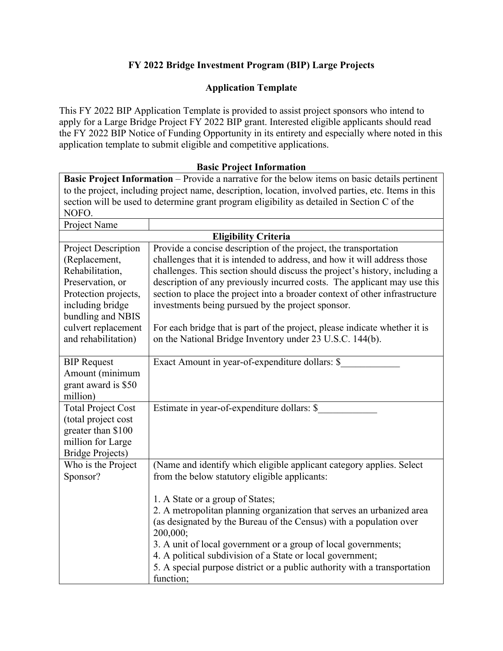# **FY 2022 Bridge Investment Program (BIP) Large Projects**

# **Application Template**

This FY 2022 BIP Application Template is provided to assist project sponsors who intend to apply for a Large Bridge Project FY 2022 BIP grant. Interested eligible applicants should read the FY 2022 BIP Notice of Funding Opportunity in its entirety and especially where noted in this application template to submit eligible and competitive applications.

| to the project, including project name, description, location, involved parties, etc. Hems in this |                                                                                             |  |
|----------------------------------------------------------------------------------------------------|---------------------------------------------------------------------------------------------|--|
|                                                                                                    | section will be used to determine grant program eligibility as detailed in Section C of the |  |
| NOFO.                                                                                              |                                                                                             |  |
| Project Name                                                                                       |                                                                                             |  |
|                                                                                                    | <b>Eligibility Criteria</b>                                                                 |  |
| <b>Project Description</b>                                                                         | Provide a concise description of the project, the transportation                            |  |
| (Replacement,                                                                                      | challenges that it is intended to address, and how it will address those                    |  |
| Rehabilitation,                                                                                    | challenges. This section should discuss the project's history, including a                  |  |
| Preservation, or                                                                                   | description of any previously incurred costs. The applicant may use this                    |  |
| Protection projects,                                                                               | section to place the project into a broader context of other infrastructure                 |  |
| including bridge                                                                                   | investments being pursued by the project sponsor.                                           |  |
| bundling and NBIS                                                                                  |                                                                                             |  |
| culvert replacement                                                                                | For each bridge that is part of the project, please indicate whether it is                  |  |
| and rehabilitation)                                                                                | on the National Bridge Inventory under 23 U.S.C. 144(b).                                    |  |
|                                                                                                    |                                                                                             |  |
| <b>BIP</b> Request                                                                                 | Exact Amount in year-of-expenditure dollars: \$                                             |  |
| Amount (minimum                                                                                    |                                                                                             |  |
| grant award is \$50                                                                                |                                                                                             |  |
| million)                                                                                           |                                                                                             |  |
| <b>Total Project Cost</b>                                                                          | Estimate in year-of-expenditure dollars: \$                                                 |  |
| (total project cost                                                                                |                                                                                             |  |
| greater than \$100                                                                                 |                                                                                             |  |
| million for Large                                                                                  |                                                                                             |  |
| <b>Bridge Projects)</b>                                                                            |                                                                                             |  |
| Who is the Project                                                                                 | (Name and identify which eligible applicant category applies. Select                        |  |
| Sponsor?                                                                                           | from the below statutory eligible applicants:                                               |  |
|                                                                                                    |                                                                                             |  |
|                                                                                                    | 1. A State or a group of States;                                                            |  |
|                                                                                                    | 2. A metropolitan planning organization that serves an urbanized area                       |  |
|                                                                                                    | (as designated by the Bureau of the Census) with a population over<br>200,000;              |  |
|                                                                                                    | 3. A unit of local government or a group of local governments;                              |  |
|                                                                                                    | 4. A political subdivision of a State or local government;                                  |  |
|                                                                                                    | 5. A special purpose district or a public authority with a transportation                   |  |
|                                                                                                    | function;                                                                                   |  |

#### **Basic Project Information**

**Basic Project Information** – Provide a narrative for the below items on basic details pertinent to the project, including project name, description, location, involved parties, etc. Items in this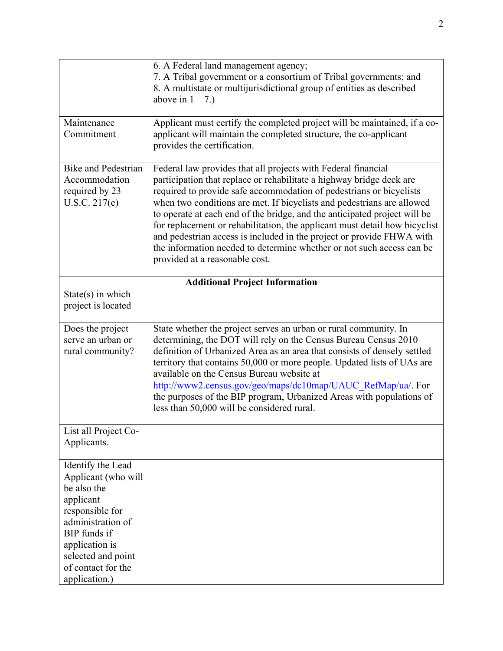|                                                                                                                                                                                                             | 6. A Federal land management agency;<br>7. A Tribal government or a consortium of Tribal governments; and<br>8. A multistate or multijurisdictional group of entities as described<br>above in $1 - 7$ .)                                                                                                                                                                                                                                                                                                                                                                                                                             |
|-------------------------------------------------------------------------------------------------------------------------------------------------------------------------------------------------------------|---------------------------------------------------------------------------------------------------------------------------------------------------------------------------------------------------------------------------------------------------------------------------------------------------------------------------------------------------------------------------------------------------------------------------------------------------------------------------------------------------------------------------------------------------------------------------------------------------------------------------------------|
| Maintenance<br>Commitment                                                                                                                                                                                   | Applicant must certify the completed project will be maintained, if a co-<br>applicant will maintain the completed structure, the co-applicant<br>provides the certification.                                                                                                                                                                                                                                                                                                                                                                                                                                                         |
| <b>Bike and Pedestrian</b><br>Accommodation<br>required by 23<br>U.S.C. 217(e)                                                                                                                              | Federal law provides that all projects with Federal financial<br>participation that replace or rehabilitate a highway bridge deck are<br>required to provide safe accommodation of pedestrians or bicyclists<br>when two conditions are met. If bicyclists and pedestrians are allowed<br>to operate at each end of the bridge, and the anticipated project will be<br>for replacement or rehabilitation, the applicant must detail how bicyclist<br>and pedestrian access is included in the project or provide FHWA with<br>the information needed to determine whether or not such access can be<br>provided at a reasonable cost. |
|                                                                                                                                                                                                             | <b>Additional Project Information</b>                                                                                                                                                                                                                                                                                                                                                                                                                                                                                                                                                                                                 |
| $State(s)$ in which<br>project is located                                                                                                                                                                   |                                                                                                                                                                                                                                                                                                                                                                                                                                                                                                                                                                                                                                       |
| Does the project<br>serve an urban or<br>rural community?                                                                                                                                                   | State whether the project serves an urban or rural community. In<br>determining, the DOT will rely on the Census Bureau Census 2010<br>definition of Urbanized Area as an area that consists of densely settled<br>territory that contains 50,000 or more people. Updated lists of UAs are<br>available on the Census Bureau website at<br>http://www2.census.gov/geo/maps/dc10map/UAUC RefMap/ua/. For<br>the purposes of the BIP program, Urbanized Areas with populations of<br>less than 50,000 will be considered rural.                                                                                                         |
| List all Project Co-<br>Applicants.                                                                                                                                                                         |                                                                                                                                                                                                                                                                                                                                                                                                                                                                                                                                                                                                                                       |
| Identify the Lead<br>Applicant (who will<br>be also the<br>applicant<br>responsible for<br>administration of<br>BIP funds if<br>application is<br>selected and point<br>of contact for the<br>application.) |                                                                                                                                                                                                                                                                                                                                                                                                                                                                                                                                                                                                                                       |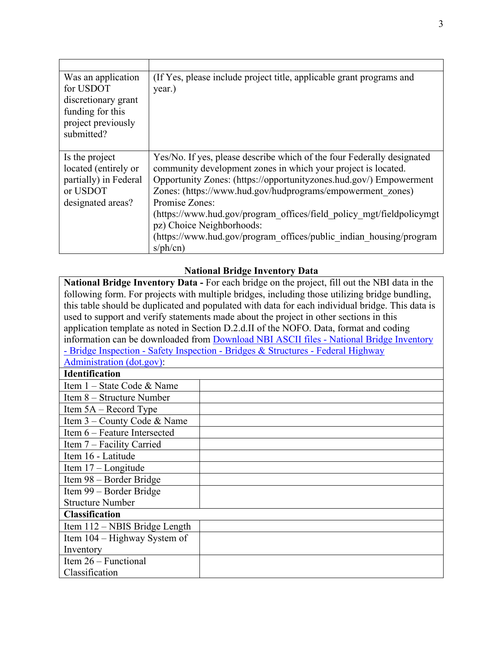| Was an application<br>for USDOT<br>discretionary grant<br>funding for this<br>project previously<br>submitted? | (If Yes, please include project title, applicable grant programs and<br>year.)                                                                                                                                                                                                                                                                                                                                                                                                         |
|----------------------------------------------------------------------------------------------------------------|----------------------------------------------------------------------------------------------------------------------------------------------------------------------------------------------------------------------------------------------------------------------------------------------------------------------------------------------------------------------------------------------------------------------------------------------------------------------------------------|
| Is the project<br>located (entirely or<br>partially) in Federal<br>or USDOT<br>designated areas?               | Yes/No. If yes, please describe which of the four Federally designated<br>community development zones in which your project is located.<br>Opportunity Zones: (https://opportunityzones.hud.gov/) Empowerment<br>Zones: (https://www.hud.gov/hudprograms/empowerment zones)<br>Promise Zones:<br>(https://www.hud.gov/program offices/field policy mgt/fieldpolicymgt<br>pz) Choice Neighborhoods:<br>(https://www.hud.gov/program offices/public indian housing/program<br>$sph$ (cn) |

### **National Bridge Inventory Data**

**National Bridge Inventory Data -** For each bridge on the project, fill out the NBI data in the following form. For projects with multiple bridges, including those utilizing bridge bundling, this table should be duplicated and populated with data for each individual bridge. This data is used to support and verify statements made about the project in other sections in this application template as noted in Section D.2.d.II of the NOFO. Data, format and coding information can be downloaded from [Download NBI ASCII files - National Bridge Inventory](https://www.fhwa.dot.gov/bridge/nbi/ascii.cfm)  [- Bridge Inspection - Safety Inspection - Bridges & Structures - Federal Highway](https://www.fhwa.dot.gov/bridge/nbi/ascii.cfm)  [Administration \(dot.gov\):](https://www.fhwa.dot.gov/bridge/nbi/ascii.cfm)

#### **Identification**

| Item $1 - State Code & Name$  |  |
|-------------------------------|--|
| Item $8 -$ Structure Number   |  |
| Item $5A - Record$ Type       |  |
| Item 3 – County Code & Name   |  |
| Item 6 – Feature Intersected  |  |
| Item 7 – Facility Carried     |  |
| Item 16 - Latitude            |  |
| Item $17 -$ Longitude         |  |
| Item 98 – Border Bridge       |  |
| Item 99 – Border Bridge       |  |
| <b>Structure Number</b>       |  |
| <b>Classification</b>         |  |
| Item 112 – NBIS Bridge Length |  |
| Item 104 – Highway System of  |  |
| Inventory                     |  |
| Item $26$ – Functional        |  |
| Classification                |  |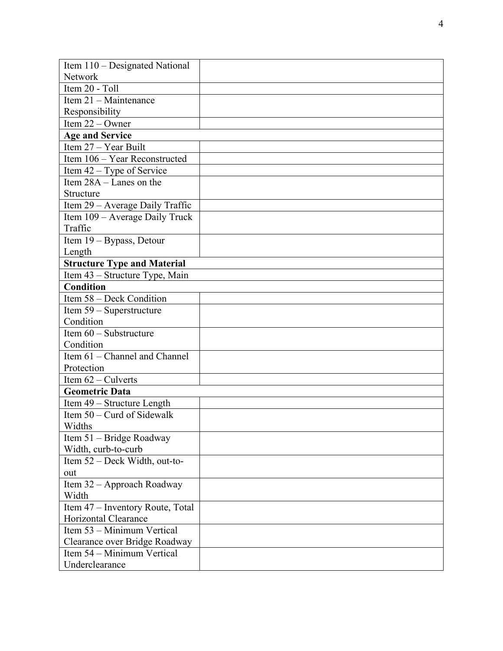| Item 110 – Designated National     |  |
|------------------------------------|--|
| Network                            |  |
| Item 20 - Toll                     |  |
| Item 21 - Maintenance              |  |
| Responsibility                     |  |
| Item $22 -$ Owner                  |  |
| <b>Age and Service</b>             |  |
| Item 27 - Year Built               |  |
| Item 106 - Year Reconstructed      |  |
| Item 42 – Type of Service          |  |
| Item $28A -$ Lanes on the          |  |
| Structure                          |  |
| Item 29 - Average Daily Traffic    |  |
| Item 109 – Average Daily Truck     |  |
| Traffic                            |  |
| Item 19 - Bypass, Detour           |  |
| Length                             |  |
| <b>Structure Type and Material</b> |  |
| Item 43 - Structure Type, Main     |  |
| <b>Condition</b>                   |  |
| Item 58 - Deck Condition           |  |
| Item 59 – Superstructure           |  |
| Condition                          |  |
| Item 60 - Substructure             |  |
| Condition                          |  |
| Item 61 - Channel and Channel      |  |
| Protection                         |  |
| Item $62$ – Culverts               |  |
| <b>Geometric Data</b>              |  |
| Item 49 - Structure Length         |  |
| Item $50$ – Curd of Sidewalk       |  |
| Widths                             |  |
| Item 51 - Bridge Roadway           |  |
| Width, curb-to-curb                |  |
| Item 52 – Deck Width, out-to-      |  |
| out                                |  |
| Item 32 - Approach Roadway         |  |
| Width                              |  |
| Item 47 - Inventory Route, Total   |  |
| Horizontal Clearance               |  |
| Item 53 – Minimum Vertical         |  |
| Clearance over Bridge Roadway      |  |
| Item 54 – Minimum Vertical         |  |
| Underclearance                     |  |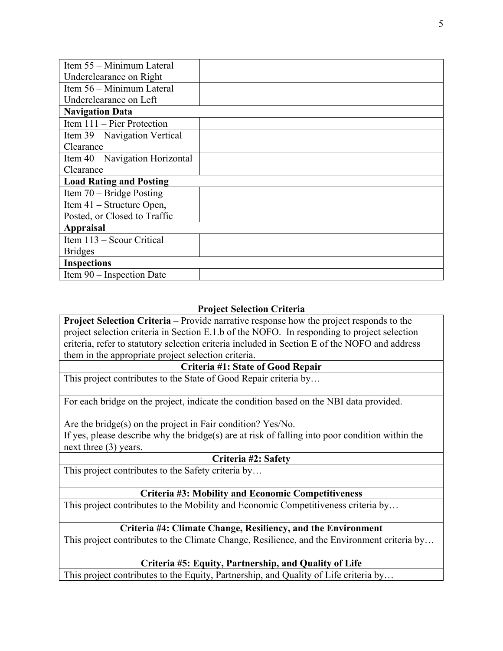| Item 55 - Minimum Lateral       |  |
|---------------------------------|--|
| Underclearance on Right         |  |
| Item 56 – Minimum Lateral       |  |
| Underclearance on Left          |  |
| <b>Navigation Data</b>          |  |
| Item $111 -$ Pier Protection    |  |
| Item 39 – Navigation Vertical   |  |
| Clearance                       |  |
| Item 40 – Navigation Horizontal |  |
| Clearance                       |  |
| <b>Load Rating and Posting</b>  |  |
| Item $70 - Bridge$ Posting      |  |
| Item 41 – Structure Open,       |  |
| Posted, or Closed to Traffic    |  |
| <b>Appraisal</b>                |  |
| Item 113 - Scour Critical       |  |
| <b>Bridges</b>                  |  |
| <b>Inspections</b>              |  |
| Item 90 – Inspection Date       |  |

# **Project Selection Criteria**

**Project Selection Criteria** – Provide narrative response how the project responds to the project selection criteria in Section E.1.b of the NOFO. In responding to project selection criteria, refer to statutory selection criteria included in Section E of the NOFO and address them in the appropriate project selection criteria.

#### **Criteria #1: State of Good Repair**

This project contributes to the State of Good Repair criteria by…

For each bridge on the project, indicate the condition based on the NBI data provided.

Are the bridge(s) on the project in Fair condition? Yes/No.

If yes, please describe why the bridge(s) are at risk of falling into poor condition within the next three (3) years.

#### **Criteria #2: Safety**

This project contributes to the Safety criteria by…

#### **Criteria #3: Mobility and Economic Competitiveness**

This project contributes to the Mobility and Economic Competitiveness criteria by…

#### **Criteria #4: Climate Change, Resiliency, and the Environment**

This project contributes to the Climate Change, Resilience, and the Environment criteria by…

#### **Criteria #5: Equity, Partnership, and Quality of Life**

This project contributes to the Equity, Partnership, and Quality of Life criteria by…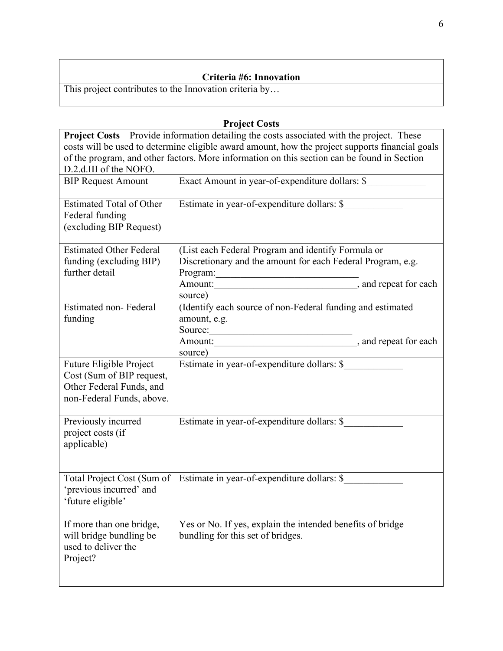# **Criteria #6: Innovation**

This project contributes to the Innovation criteria by…

**Project Costs Project Costs** – Provide information detailing the costs associated with the project. These costs will be used to determine eligible award amount, how the project supports financial goals of the program, and other factors. More information on this section can be found in Section D.2.d.III of the NOFO.<br>BIP Request Amount Exact Amount in year-of-expenditure dollars: \$ Estimated Total of Other Federal funding (excluding BIP Request) Estimate in year-of-expenditure dollars: \$\_\_\_\_\_\_\_\_\_\_\_\_ Estimated Other Federal funding (excluding BIP) further detail (List each Federal Program and identify Formula or Discretionary and the amount for each Federal Program, e.g. Program: Amount:  $\overline{\phantom{a}}$ , and repeat for each source) Estimated non- Federal funding (Identify each source of non-Federal funding and estimated amount, e.g. Source: Amount: \_\_\_\_\_\_\_\_\_\_\_\_\_\_\_\_\_\_\_\_\_\_\_\_\_\_\_\_\_\_\_\_\_\_\_, and repeat for each source) Future Eligible Project Cost (Sum of BIP request, Other Federal Funds, and non-Federal Funds, above. Estimate in year-of-expenditure dollars: \$\_\_\_\_\_\_\_\_\_\_\_\_ Previously incurred project costs (if applicable) Estimate in year-of-expenditure dollars: \$\_\_\_\_\_\_\_\_\_\_\_\_ Total Project Cost (Sum of 'previous incurred' and 'future eligible' Estimate in year-of-expenditure dollars: \$ If more than one bridge, will bridge bundling be used to deliver the Project? Yes or No. If yes, explain the intended benefits of bridge bundling for this set of bridges.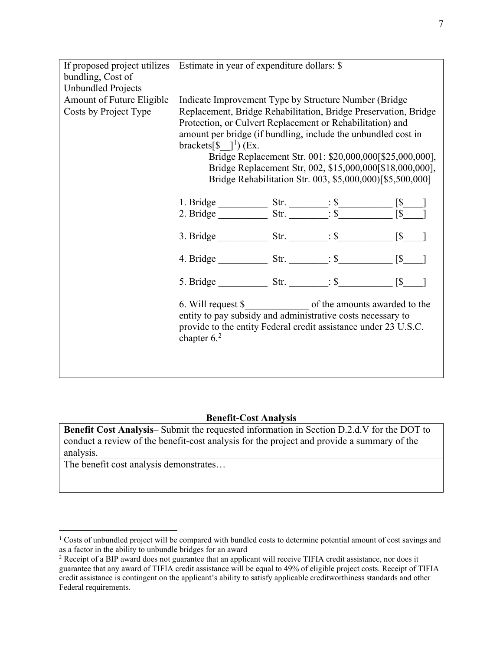| If proposed project utilizes | Estimate in year of expenditure dollars: \$                     |  |                                                           |            |
|------------------------------|-----------------------------------------------------------------|--|-----------------------------------------------------------|------------|
| bundling, Cost of            |                                                                 |  |                                                           |            |
| <b>Unbundled Projects</b>    |                                                                 |  |                                                           |            |
| Amount of Future Eligible    | Indicate Improvement Type by Structure Number (Bridge)          |  |                                                           |            |
| Costs by Project Type        | Replacement, Bridge Rehabilitation, Bridge Preservation, Bridge |  |                                                           |            |
|                              | Protection, or Culvert Replacement or Rehabilitation) and       |  |                                                           |            |
|                              | amount per bridge (if bundling, include the unbundled cost in   |  |                                                           |            |
|                              | brackets[ $\{\$ $\}$ <sup>1</sup> ) (Ex.                        |  |                                                           |            |
|                              |                                                                 |  | Bridge Replacement Str. 001: \$20,000,000[\$25,000,000],  |            |
|                              |                                                                 |  | Bridge Replacement Str, 002, \$15,000,000[\$18,000,000],  |            |
|                              |                                                                 |  | Bridge Rehabilitation Str. 003, \$5,000,000)[\$5,500,000] |            |
|                              |                                                                 |  |                                                           |            |
|                              |                                                                 |  |                                                           |            |
|                              |                                                                 |  |                                                           |            |
|                              |                                                                 |  |                                                           |            |
|                              | 3. Bridge Str. $\therefore$ \$ [\$                              |  |                                                           |            |
|                              |                                                                 |  |                                                           |            |
|                              |                                                                 |  |                                                           |            |
|                              |                                                                 |  |                                                           |            |
|                              | 5. Bridge Str. $\qquad \qquad : \$                              |  |                                                           | $\sqrt{S}$ |
|                              |                                                                 |  |                                                           |            |
|                              | entity to pay subsidy and administrative costs necessary to     |  |                                                           |            |
|                              | provide to the entity Federal credit assistance under 23 U.S.C. |  |                                                           |            |
|                              | chapter $62$                                                    |  |                                                           |            |
|                              |                                                                 |  |                                                           |            |
|                              |                                                                 |  |                                                           |            |
|                              |                                                                 |  |                                                           |            |
|                              |                                                                 |  |                                                           |            |

# **Benefit-Cost Analysis**

**Benefit Cost Analysis**– Submit the requested information in Section D.2.d.V for the DOT to conduct a review of the benefit-cost analysis for the project and provide a summary of the analysis.

The benefit cost analysis demonstrates…

<span id="page-6-0"></span><sup>&</sup>lt;sup>1</sup> Costs of unbundled project will be compared with bundled costs to determine potential amount of cost savings and as a factor in the ability to unbundle bridges for an award

<span id="page-6-1"></span><sup>&</sup>lt;sup>2</sup> Receipt of a BIP award does not guarantee that an applicant will receive TIFIA credit assistance, nor does it guarantee that any award of TIFIA credit assistance will be equal to 49% of eligible project costs. Receipt of TIFIA credit assistance is contingent on the applicant's ability to satisfy applicable creditworthiness standards and other Federal requirements.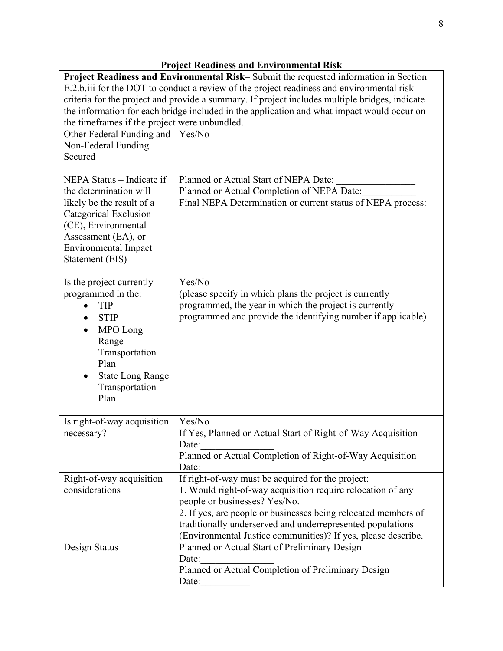| Project Readiness and Environmental Risk–Submit the requested information in Section<br>E.2.b.iii for the DOT to conduct a review of the project readiness and environmental risk<br>criteria for the project and provide a summary. If project includes multiple bridges, indicate<br>the information for each bridge included in the application and what impact would occur on<br>the timeframes if the project were unbundled. |                                                                                                                                                                                                                                                                                                                                                    |  |
|------------------------------------------------------------------------------------------------------------------------------------------------------------------------------------------------------------------------------------------------------------------------------------------------------------------------------------------------------------------------------------------------------------------------------------|----------------------------------------------------------------------------------------------------------------------------------------------------------------------------------------------------------------------------------------------------------------------------------------------------------------------------------------------------|--|
| Other Federal Funding and<br>Non-Federal Funding<br>Secured                                                                                                                                                                                                                                                                                                                                                                        | Yes/No                                                                                                                                                                                                                                                                                                                                             |  |
| NEPA Status - Indicate if<br>the determination will<br>likely be the result of a<br>Categorical Exclusion<br>(CE), Environmental<br>Assessment (EA), or<br>Environmental Impact<br>Statement (EIS)                                                                                                                                                                                                                                 | Planned or Actual Start of NEPA Date:<br>Planned or Actual Completion of NEPA Date:<br>Final NEPA Determination or current status of NEPA process:                                                                                                                                                                                                 |  |
| Is the project currently<br>programmed in the:<br><b>TIP</b><br><b>STIP</b><br>$\bullet$<br>MPO Long<br>Range<br>Transportation<br>Plan<br><b>State Long Range</b><br>Transportation<br>Plan                                                                                                                                                                                                                                       | Yes/No<br>(please specify in which plans the project is currently<br>programmed, the year in which the project is currently<br>programmed and provide the identifying number if applicable)                                                                                                                                                        |  |
| Is right-of-way acquisition<br>necessary?                                                                                                                                                                                                                                                                                                                                                                                          | Yes/No<br>If Yes, Planned or Actual Start of Right-of-Way Acquisition<br>Date:<br>Planned or Actual Completion of Right-of-Way Acquisition<br>Date:                                                                                                                                                                                                |  |
| Right-of-way acquisition<br>considerations                                                                                                                                                                                                                                                                                                                                                                                         | If right-of-way must be acquired for the project:<br>1. Would right-of-way acquisition require relocation of any<br>people or businesses? Yes/No.<br>2. If yes, are people or businesses being relocated members of<br>traditionally underserved and underrepresented populations<br>(Environmental Justice communities)? If yes, please describe. |  |
| Design Status                                                                                                                                                                                                                                                                                                                                                                                                                      | Planned or Actual Start of Preliminary Design<br>Date:<br>Planned or Actual Completion of Preliminary Design<br>Date:                                                                                                                                                                                                                              |  |

# **Project Readiness and Environmental Risk**